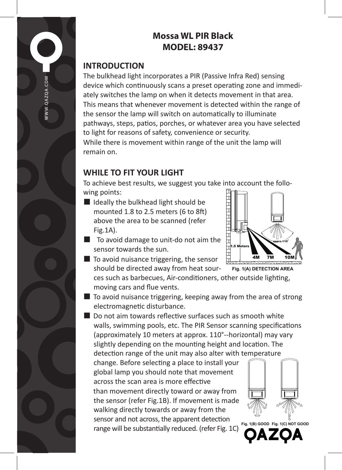# **Mossa WL PIR Black MODEL: 89437**

## **INTRODUCTION**

OAZOA.COM

The bulkhead light incorporates a PIR (Passive Infra Red) sensing device which continuously scans a preset operating zone and immediately switches the lamp on when it detects movement in that area. This means that whenever movement is detected within the range of the sensor the lamp will switch on automatically to illuminate pathways, steps, patios, porches, or whatever area you have selected to light for reasons of safety, convenience or security.

While there is movement within range of the unit the lamp will remain on.

## **WHILE TO FIT YOUR LIGHT**

To achieve best results, we suggest you take into account the following points:

- Ideally the bulkhead light should be mounted 1.8 to 2.5 meters (6 to 8ft) above the area to be scanned (refer Fig.1A).
- To avoid damage to unit-do not aim the sensor towards the sun.
- $\blacksquare$  To avoid nuisance triggering, the sensor should be directed away from heat sour-



■ To avoid nuisance triggering, keeping away from the area of strong electromagnetic disturbance.

■ Do not aim towards reflective surfaces such as smooth white walls, swimming pools, etc. The PIR Sensor scanning specifications (approximately 10 meters at approx. 110°--horizontal) may vary slightly depending on the mounting height and location. The

detection range of the unit may also alter with temperature change. Before selecting a place to install your global lamp you should note that movement across the scan area is more effective than movement directly toward or away from the sensor (refer Fig.1B). If movement is made walking directly towards or away from the sensor and not across, the apparent detection range will be substantially reduced. (refer Fig. 1C)





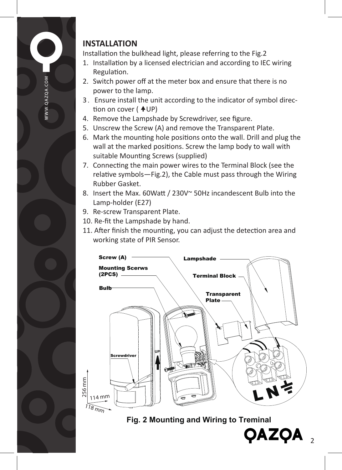

# **INSTALLATION**

Installation the bulkhead light, please referring to the Fig.2

- 1. Installation by a licensed electrician and according to IEC wiring Regulation.
- 2. Switch power off at the meter box and ensure that there is no power to the lamp.
- 3.Ensure install the unit according to the indicator of symbol direction on cover  $($   $\blacktriangle$ UP)
- 4. Remove the Lampshade by Screwdriver, see figure.
- 5. Unscrew the Screw (A) and remove the Transparent Plate.
- 6. Mark the mounting hole positions onto the wall. Drill and plug the wall at the marked positions. Screw the lamp body to wall with suitable Mounting Screws (supplied)
- 7. Connecting the main power wires to the Terminal Block (see the relative symbols—Fig.2), the Cable must pass through the Wiring Rubber Gasket.
- 8. Insert the Max. 60Watt / 230V~ 50Hz incandescent Bulb into the Lamp-holder (E27)
- 9. Re-screw Transparent Plate.
- 10. Re-fit the Lampshade by hand.
- 11. After finish the mounting, you can adjust the detection area and working state of PIR Sensor.



**Fig. 2 Mounting and Wiring to Treminal**

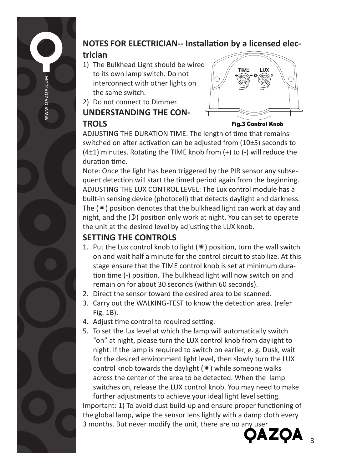

## **NOTES FOR ELECTRICIAN-- Installation by a licensed elec-**

#### **trician**

- 1) The Bulkhead Light should be wired to its own lamp switch. Do not interconnect with other lights on the same switch.
- 2) Do not connect to Dimmer.

### **UNDERSTANDING THE CON-TROLS**



**Fig.3 Control Knob** 

ADJUSTING THE DURATION TIME: The length of time that remains switched on after activation can be adjusted from (10±5) seconds to (4±1) minutes. Rotating the TIME knob from (+) to (-) will reduce the duration time.

Note: Once the light has been triggered by the PIR sensor any subsequent detection will start the timed period again from the beginning. ADJUSTING THE LUX CONTROL LEVEL: The Lux control module has a built-in sensing device (photocell) that detects daylight and darkness. The  $(*)$  position denotes that the bulkhead light can work at day and night, and the  $(\mathcal{D})$  position only work at night. You can set to operate the unit at the desired level by adjusting the LUX knob.

# **SETTING THE CONTROLS**

- 1. Put the Lux control knob to light  $(*)$  position, turn the wall switch on and wait half a minute for the control circuit to stabilize. At this stage ensure that the TIME control knob is set at minimum duration time (-) position. The bulkhead light will now switch on and remain on for about 30 seconds (within 60 seconds).
- 2. Direct the sensor toward the desired area to be scanned.
- 3. Carry out the WALKING-TEST to know the detection area. (refer Fig. 1B).
- 4. Adjust time control to required setting.
- 5. To set the lux level at which the lamp will automatically switch "on" at night, please turn the LUX control knob from daylight to night. If the lamp is required to switch on earlier, e. g. Dusk, wait for the desired environment light level, then slowly turn the LUX control knob towards the daylight  $(* )$  while someone walks across the center of the area to be detected. When the lamp switches on, release the LUX control knob. You may need to make

further adjustments to achieve your ideal light level setting. Important: 1) To avoid dust build-up and ensure proper functioning of the global lamp, wipe the sensor lens lightly with a damp cloth every 3 months. But never modify the unit, there are no any user